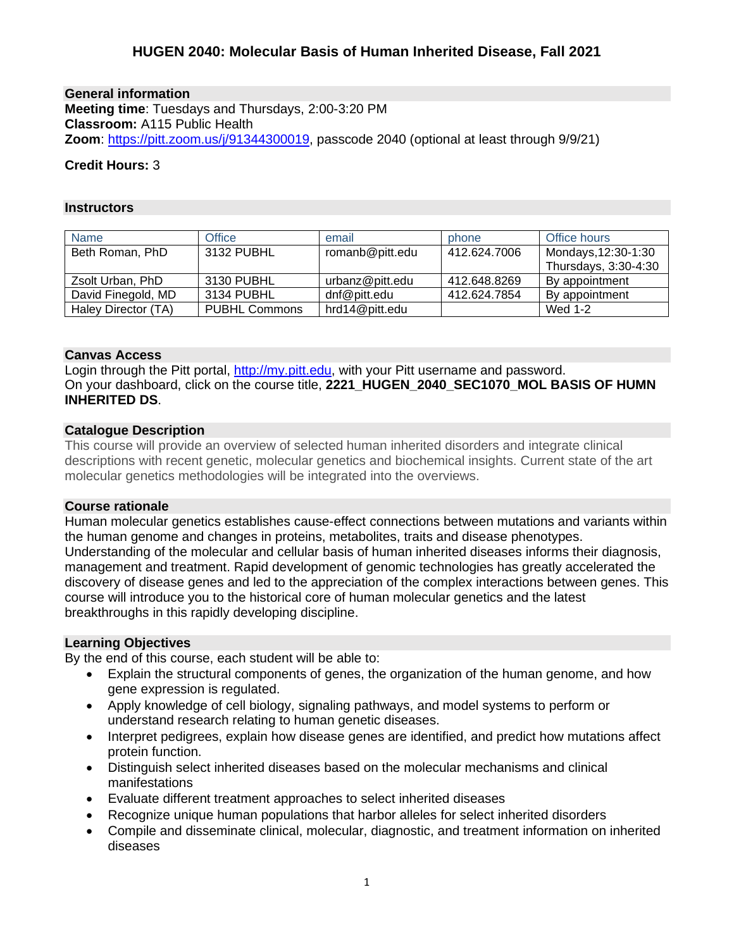**General information Meeting time**: Tuesdays and Thursdays, 2:00-3:20 PM **Classroom:** A115 Public Health **Zoom**: [https://pitt.zoom.us/j/91344300019,](https://pitt.zoom.us/j/91344300019) passcode 2040 (optional at least through 9/9/21)

## **Credit Hours:** 3

#### **Instructors**

| <b>Name</b>         | Office               | email           | phone        | Office hours         |
|---------------------|----------------------|-----------------|--------------|----------------------|
| Beth Roman, PhD     | 3132 PUBHL           | romanb@pitt.edu | 412.624.7006 | Mondays, 12:30-1:30  |
|                     |                      |                 |              | Thursdays, 3:30-4:30 |
| Zsolt Urban, PhD    | 3130 PUBHL           | urbanz@pitt.edu | 412.648.8269 | By appointment       |
| David Finegold, MD  | 3134 PUBHL           | dnf@pitt.edu    | 412.624.7854 | By appointment       |
| Haley Director (TA) | <b>PUBHL Commons</b> | hrd14@pitt.edu  |              | Wed 1-2              |

### **Canvas Access**

Login through the Pitt portal, [http://my.pitt.edu,](http://my.pitt.edu/) with your Pitt username and password. On your dashboard, click on the course title, **2221\_HUGEN\_2040\_SEC1070\_MOL BASIS OF HUMN INHERITED DS**.

### **Catalogue Description**

This course will provide an overview of selected human inherited disorders and integrate clinical descriptions with recent genetic, molecular genetics and biochemical insights. Current state of the art molecular genetics methodologies will be integrated into the overviews.

#### **Course rationale**

Human molecular genetics establishes cause-effect connections between mutations and variants within the human genome and changes in proteins, metabolites, traits and disease phenotypes. Understanding of the molecular and cellular basis of human inherited diseases informs their diagnosis, management and treatment. Rapid development of genomic technologies has greatly accelerated the discovery of disease genes and led to the appreciation of the complex interactions between genes. This course will introduce you to the historical core of human molecular genetics and the latest breakthroughs in this rapidly developing discipline.

## **Learning Objectives**

By the end of this course, each student will be able to:

- Explain the structural components of genes, the organization of the human genome, and how gene expression is regulated.
- Apply knowledge of cell biology, signaling pathways, and model systems to perform or understand research relating to human genetic diseases.
- Interpret pedigrees, explain how disease genes are identified, and predict how mutations affect protein function.
- Distinguish select inherited diseases based on the molecular mechanisms and clinical manifestations
- Evaluate different treatment approaches to select inherited diseases
- Recognize unique human populations that harbor alleles for select inherited disorders
- Compile and disseminate clinical, molecular, diagnostic, and treatment information on inherited diseases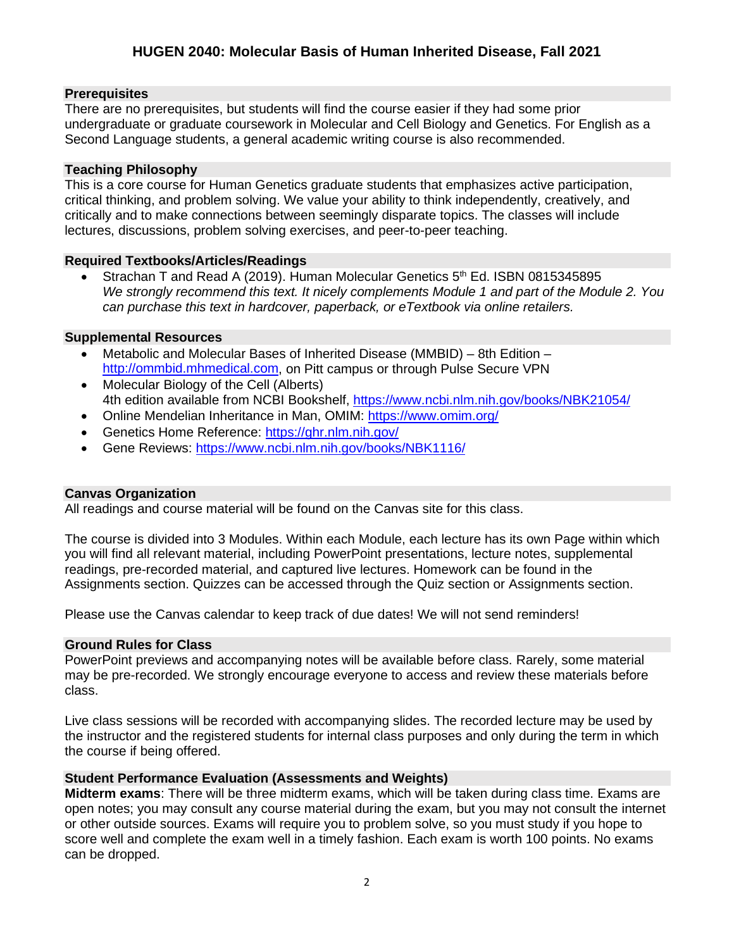# **Prerequisites**

There are no prerequisites, but students will find the course easier if they had some prior undergraduate or graduate coursework in Molecular and Cell Biology and Genetics. For English as a Second Language students, a general academic writing course is also recommended.

# **Teaching Philosophy**

This is a core course for Human Genetics graduate students that emphasizes active participation, critical thinking, and problem solving. We value your ability to think independently, creatively, and critically and to make connections between seemingly disparate topics. The classes will include lectures, discussions, problem solving exercises, and peer-to-peer teaching.

# **Required Textbooks/Articles/Readings**

Strachan T and Read A (2019). Human Molecular Genetics 5<sup>th</sup> Ed. ISBN 0815345895 *We strongly recommend this text. It nicely complements Module 1 and part of the Module 2. You can purchase this text in hardcover, paperback, or eTextbook via online retailers.*

## **Supplemental Resources**

- Metabolic and Molecular Bases of Inherited Disease (MMBID) 8th Edition [http://ommbid.mhmedical.com,](http://ommbid.mhmedical.com/) on Pitt campus or through Pulse Secure VPN
- Molecular Biology of the Cell (Alberts) 4th edition available from NCBI Bookshelf,<https://www.ncbi.nlm.nih.gov/books/NBK21054/>
- Online Mendelian Inheritance in Man, OMIM:<https://www.omim.org/>
- Genetics Home Reference:<https://ghr.nlm.nih.gov/>
- Gene Reviews:<https://www.ncbi.nlm.nih.gov/books/NBK1116/>

## **Canvas Organization**

All readings and course material will be found on the Canvas site for this class.

The course is divided into 3 Modules. Within each Module, each lecture has its own Page within which you will find all relevant material, including PowerPoint presentations, lecture notes, supplemental readings, pre-recorded material, and captured live lectures. Homework can be found in the Assignments section. Quizzes can be accessed through the Quiz section or Assignments section.

Please use the Canvas calendar to keep track of due dates! We will not send reminders!

# **Ground Rules for Class**

PowerPoint previews and accompanying notes will be available before class. Rarely, some material may be pre-recorded. We strongly encourage everyone to access and review these materials before class.

Live class sessions will be recorded with accompanying slides. The recorded lecture may be used by the instructor and the registered students for internal class purposes and only during the term in which the course if being offered.

# **Student Performance Evaluation (Assessments and Weights)**

**Midterm exams**: There will be three midterm exams, which will be taken during class time. Exams are open notes; you may consult any course material during the exam, but you may not consult the internet or other outside sources. Exams will require you to problem solve, so you must study if you hope to score well and complete the exam well in a timely fashion. Each exam is worth 100 points. No exams can be dropped.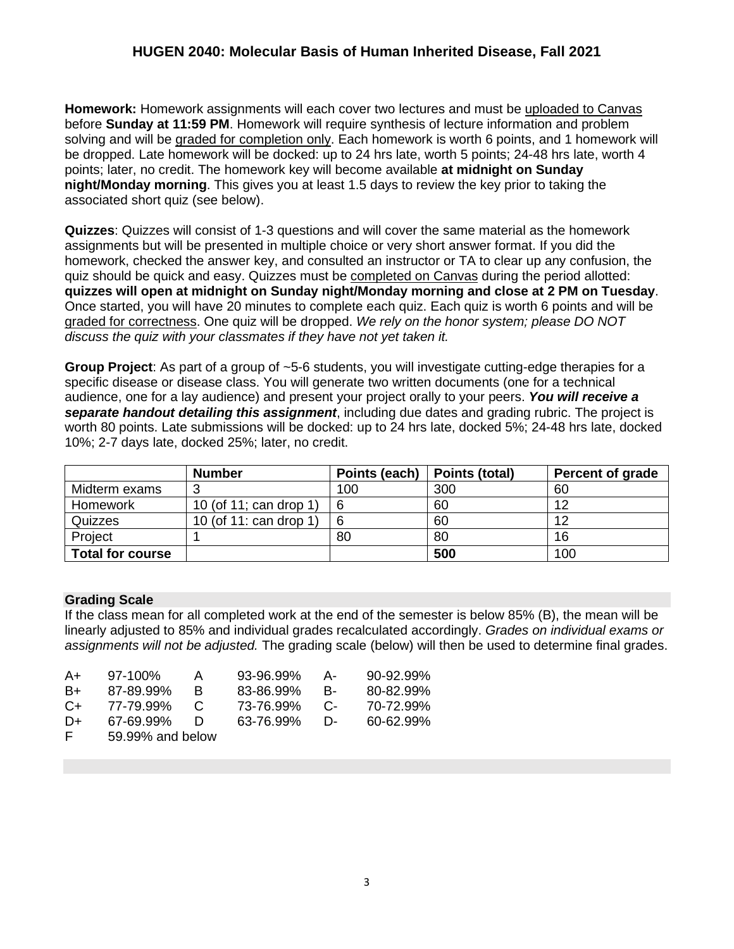**Homework:** Homework assignments will each cover two lectures and must be uploaded to Canvas before **Sunday at 11:59 PM**. Homework will require synthesis of lecture information and problem solving and will be graded for completion only. Each homework is worth 6 points, and 1 homework will be dropped. Late homework will be docked: up to 24 hrs late, worth 5 points; 24-48 hrs late, worth 4 points; later, no credit. The homework key will become available **at midnight on Sunday night/Monday morning**. This gives you at least 1.5 days to review the key prior to taking the associated short quiz (see below).

**Quizzes**: Quizzes will consist of 1-3 questions and will cover the same material as the homework assignments but will be presented in multiple choice or very short answer format. If you did the homework, checked the answer key, and consulted an instructor or TA to clear up any confusion, the quiz should be quick and easy. Quizzes must be completed on Canvas during the period allotted: **quizzes will open at midnight on Sunday night/Monday morning and close at 2 PM on Tuesday**. Once started, you will have 20 minutes to complete each quiz. Each quiz is worth 6 points and will be graded for correctness. One quiz will be dropped. *We rely on the honor system; please DO NOT discuss the quiz with your classmates if they have not yet taken it.* 

**Group Project**: As part of a group of ~5-6 students, you will investigate cutting-edge therapies for a specific disease or disease class. You will generate two written documents (one for a technical audience, one for a lay audience) and present your project orally to your peers. *You will receive a separate handout detailing this assignment*, including due dates and grading rubric. The project is worth 80 points. Late submissions will be docked: up to 24 hrs late, docked 5%; 24-48 hrs late, docked 10%; 2-7 days late, docked 25%; later, no credit.

|                         | <b>Number</b>          | Points (each) | Points (total) | <b>Percent of grade</b> |
|-------------------------|------------------------|---------------|----------------|-------------------------|
| Midterm exams           |                        | 100           | 300            | 60                      |
| Homework                | 10 (of 11; can drop 1) | 6             | 60             | 12                      |
| Quizzes                 | 10 (of 11: can drop 1) | 6             | 60             | 12                      |
| Project                 |                        | 80            | 80             | 16                      |
| <b>Total for course</b> |                        |               | 500            | 100                     |

# **Grading Scale**

If the class mean for all completed work at the end of the semester is below 85% (B), the mean will be linearly adjusted to 85% and individual grades recalculated accordingly. *Grades on individual exams or assignments will not be adjusted.* The grading scale (below) will then be used to determine final grades.

| A+   | $97-100\%$       | $\mathsf{A}$ | 93-96.99% | А- | $90 - 92.99\%$ |  |
|------|------------------|--------------|-----------|----|----------------|--|
| B+   | 87-89.99%        | R            | 83-86.99% | B- | 80-82.99%      |  |
| $C+$ | 77-79.99%        | C.           | 73-76.99% | C- | 70-72.99%      |  |
| $D+$ | 67-69.99%        | $\mathbf{D}$ | 63-76.99% | D- | 60-62.99%      |  |
| E    | 59.99% and below |              |           |    |                |  |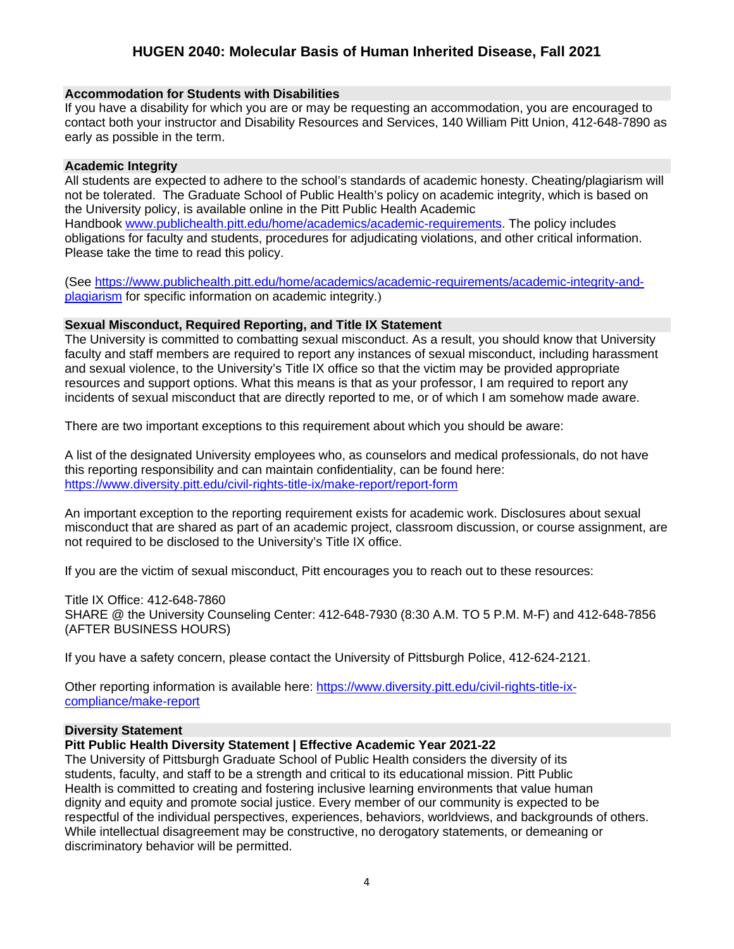## **Accommodation for Students with Disabilities**

If you have a disability for which you are or may be requesting an accommodation, you are encouraged to contact both your instructor and Disability Resources and Services, 140 William Pitt Union, 412-648-7890 as early as possible in the term.

### **Academic Integrity**

All students are expected to adhere to the school's standards of academic honesty. Cheating/plagiarism will not be tolerated. The Graduate School of Public Health's policy on academic integrity, which is based on the University policy, is available online in the Pitt Public Health Academic Handbook [www.publichealth.pitt.edu/home/academics/academic-requirements.](https://nam05.safelinks.protection.outlook.com/?url=http%3A%2F%2Fwww.publichealth.pitt.edu%2Fhome%2Facademics%2Facademic-requirements&data=02%7C01%7Cromanb%40pitt.edu%7Cbc2675531f5547f632bf08d71f4d538f%7C9ef9f489e0a04eeb87cc3a526112fd0d%7C1%7C0%7C637012289291834499&sdata=wXcI0ZFsEpnzURPIqw4Wa%2Fko5dLBCi5PRm3ZNJund68%3D&reserved=0) The policy includes obligations for faculty and students, procedures for adjudicating violations, and other critical information. Please take the time to read this policy.

(See [https://www.publichealth.pitt.edu/home/academics/academic-requirements/academic-integrity-and](https://www.publichealth.pitt.edu/home/academics/academic-requirements/academic-integrity-and-plagiarism)[plagiarism](https://www.publichealth.pitt.edu/home/academics/academic-requirements/academic-integrity-and-plagiarism) for specific information on academic integrity.)

### **Sexual Misconduct, Required Reporting, and Title IX Statement**

The University is committed to combatting sexual misconduct. As a result, you should know that University faculty and staff members are required to report any instances of sexual misconduct, including harassment and sexual violence, to the University's Title IX office so that the victim may be provided appropriate resources and support options. What this means is that as your professor, I am required to report any incidents of sexual misconduct that are directly reported to me, or of which I am somehow made aware.

There are two important exceptions to this requirement about which you should be aware:

A list of the designated University employees who, as counselors and medical professionals, do not have this reporting responsibility and can maintain confidentiality, can be found here: <https://www.diversity.pitt.edu/civil-rights-title-ix/make-report/report-form>

An important exception to the reporting requirement exists for academic work. Disclosures about sexual misconduct that are shared as part of an academic project, classroom discussion, or course assignment, are not required to be disclosed to the University's Title IX office.

If you are the victim of sexual misconduct, Pitt encourages you to reach out to these resources:

Title IX Office: 412-648-7860

SHARE @ the University Counseling Center: 412-648-7930 (8:30 A.M. TO 5 P.M. M-F) and 412-648-7856 (AFTER BUSINESS HOURS)

If you have a safety concern, please contact the University of Pittsburgh Police, 412-624-2121.

Other reporting information is available here: [https://www.diversity.pitt.edu/civil-rights-title-ix](https://www.diversity.pitt.edu/civil-rights-title-ix-compliance/make-report)[compliance/make-report](https://www.diversity.pitt.edu/civil-rights-title-ix-compliance/make-report)

#### **Diversity Statement**

## **Pitt Public Health Diversity Statement | Effective Academic Year 2021**‐**22**

The University of Pittsburgh Graduate School of Public Health considers the diversity of its students, faculty, and staff to be a strength and critical to its educational mission. Pitt Public Health is committed to creating and fostering inclusive learning environments that value human dignity and equity and promote social justice. Every member of our community is expected to be respectful of the individual perspectives, experiences, behaviors, worldviews, and backgrounds of others. While intellectual disagreement may be constructive, no derogatory statements, or demeaning or discriminatory behavior will be permitted.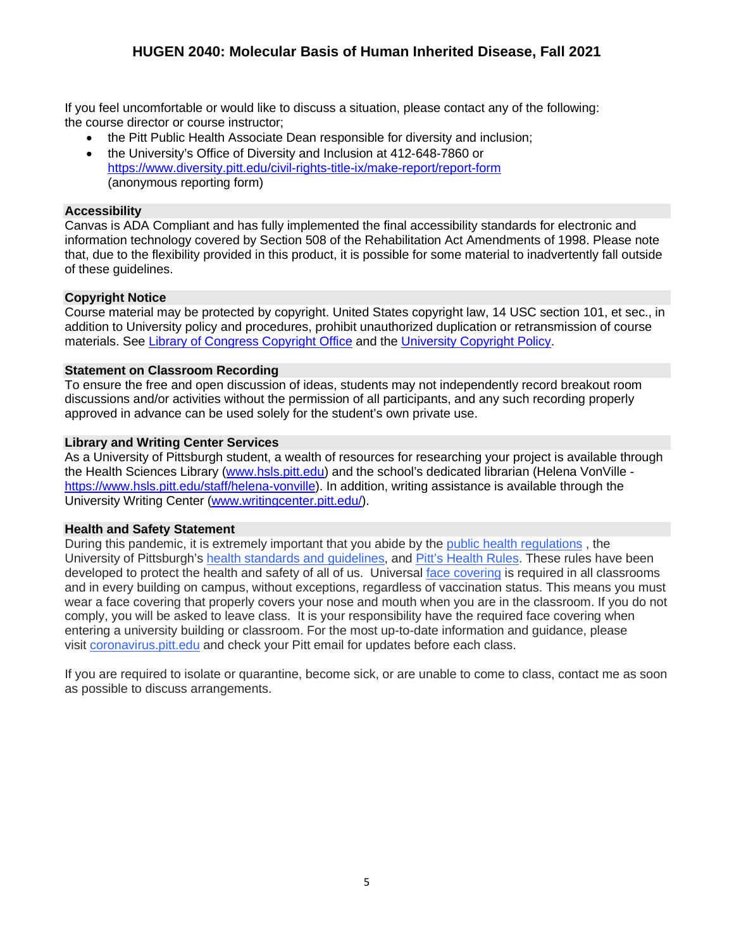If you feel uncomfortable or would like to discuss a situation, please contact any of the following: the course director or course instructor;

- the Pitt Public Health Associate Dean responsible for diversity and inclusion;
- the University's Office of Diversity and Inclusion at 412‐648‐7860 or <https://www.diversity.pitt.edu/civil-rights-title-ix/make-report/report-form> (anonymous reporting form)

## **Accessibility**

Canvas is ADA Compliant and has fully implemented the final accessibility standards for electronic and information technology covered by Section 508 of the Rehabilitation Act Amendments of 1998. Please note that, due to the flexibility provided in this product, it is possible for some material to inadvertently fall outside of these guidelines.

## **Copyright Notice**

Course material may be protected by copyright. United States copyright law, 14 USC section 101, et sec., in addition to University policy and procedures, prohibit unauthorized duplication or retransmission of course materials. See [Library of Congress Copyright Office](http://www.copyright.gov/) and th[e University Copyright Policy.](https://www.policy.pitt.edu/cs-03-copying-copyrighted-material-formerly-10-04-01)

### **Statement on Classroom Recording**

To ensure the free and open discussion of ideas, students may not independently record breakout room discussions and/or activities without the permission of all participants, and any such recording properly approved in advance can be used solely for the student's own private use.

## **Library and Writing Center Services**

As a University of Pittsburgh student, a wealth of resources for researching your project is available through the Health Sciences Library [\(www.hsls.pitt.edu\)](http://www.hsls.pitt.edu/) and the school's dedicated librarian (Helena VonVille [https://www.hsls.pitt.edu/staff/helena-vonville\)](https://www.hsls.pitt.edu/staff/helena-vonville). In addition, writing assistance is available through the University Writing Center [\(www.writingcenter.pitt.edu/\)](http://www.writingcenter.pitt.edu/).

#### **Health and Safety Statement**

During this pandemic, it is extremely important that you abide by the [public health regulations](https://www.alleghenycounty.us/Health-Department/Resources/COVID-19/COVID-19.aspx) , the University of Pittsburgh's [health standards and guidelines,](https://www.policy.pitt.edu/university-policies-and-procedures/covid-19-standards-and-guidelines) and [Pitt's Health Rules.](https://www.coronavirus.pitt.edu/healthy-community/pitts-health-rules) These rules have been developed to protect the health and safety of all of us. Universal [face covering](https://www.coronavirus.pitt.edu/frequently-asked-questions-about-face-coverings) is required in all classrooms and in every building on campus, without exceptions, regardless of vaccination status. This means you must wear a face covering that properly covers your nose and mouth when you are in the classroom. If you do not comply, you will be asked to leave class. It is your responsibility have the required face covering when entering a university building or classroom. For the most up-to-date information and guidance, please visit [coronavirus.pitt.edu](http://coronavirus.pitt.edu/) and check your Pitt email for updates before each class.

If you are required to isolate or quarantine, become sick, or are unable to come to class, contact me as soon as possible to discuss arrangements.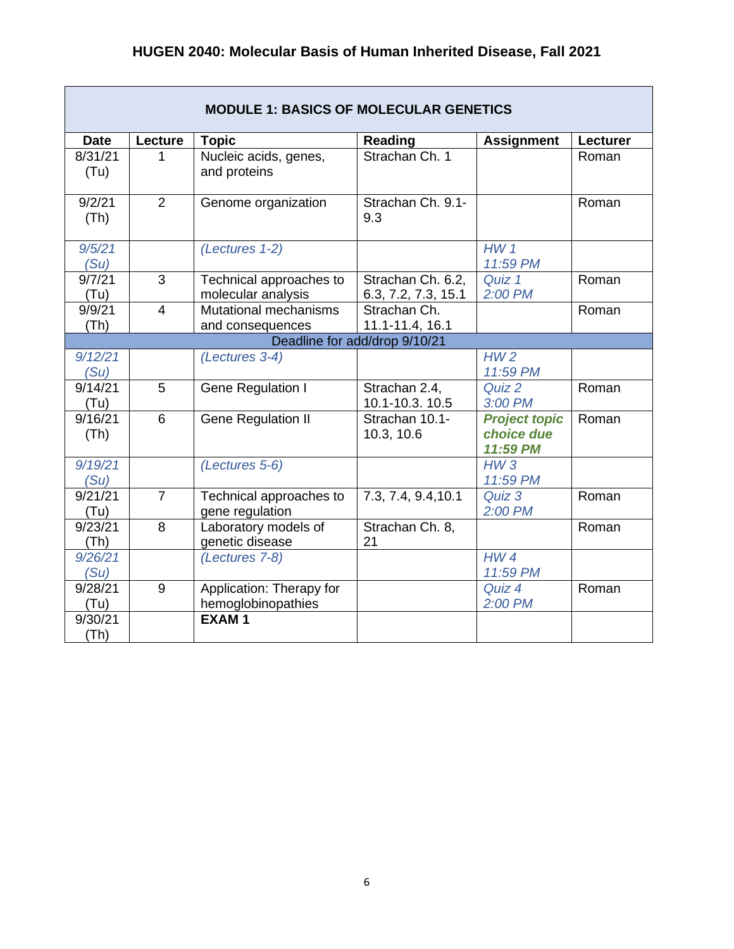| <b>MODULE 1: BASICS OF MOLECULAR GENETICS</b> |                                                                              |                              |                          |                             |          |  |  |  |
|-----------------------------------------------|------------------------------------------------------------------------------|------------------------------|--------------------------|-----------------------------|----------|--|--|--|
| <b>Date</b>                                   | Lecture                                                                      | <b>Topic</b>                 | Reading                  | <b>Assignment</b>           | Lecturer |  |  |  |
| 8/31/21                                       |                                                                              | Nucleic acids, genes,        | Strachan Ch. 1           |                             | Roman    |  |  |  |
| (T <sub>u</sub> )                             |                                                                              | and proteins                 |                          |                             |          |  |  |  |
| 9/2/21<br>(Th)                                | $\overline{2}$                                                               | Genome organization          | Strachan Ch. 9.1-<br>9.3 |                             | Roman    |  |  |  |
|                                               |                                                                              |                              |                          |                             |          |  |  |  |
| 9/5/21                                        |                                                                              | (Lectures 1-2)               |                          | HW <sub>1</sub>             |          |  |  |  |
| (Su)                                          |                                                                              |                              |                          | 11:59 PM                    |          |  |  |  |
| 9/7/21                                        | 3                                                                            | Technical approaches to      | Strachan Ch. 6.2,        | Quiz 1                      | Roman    |  |  |  |
| (T <sub>u</sub> )                             |                                                                              | molecular analysis           | 6.3, 7.2, 7.3, 15.1      | 2:00 PM                     |          |  |  |  |
| 9/9/21                                        | $\overline{4}$                                                               | <b>Mutational mechanisms</b> | Strachan Ch.             |                             | Roman    |  |  |  |
|                                               | (Th)<br>11.1-11.4, 16.1<br>and consequences<br>Deadline for add/drop 9/10/21 |                              |                          |                             |          |  |  |  |
|                                               |                                                                              |                              |                          | HW <sub>2</sub>             |          |  |  |  |
| 9/12/21<br>(Su)                               |                                                                              | (Lectures 3-4)               |                          | 11:59 PM                    |          |  |  |  |
| 9/14/21                                       | 5                                                                            | Gene Regulation I            | Strachan 2.4,            | Quiz 2                      | Roman    |  |  |  |
| (Tu)                                          |                                                                              |                              | 10.1-10.3. 10.5          | 3:00 PM                     |          |  |  |  |
| 9/16/21                                       | 6                                                                            | Gene Regulation II           | Strachan 10.1-           | <b>Project topic</b>        | Roman    |  |  |  |
| (Th)                                          |                                                                              |                              | 10.3, 10.6               | choice due                  |          |  |  |  |
|                                               |                                                                              |                              |                          | 11:59 PM                    |          |  |  |  |
| 9/19/21                                       |                                                                              | (Lectures 5-6)               |                          | HW3                         |          |  |  |  |
| (Su)                                          |                                                                              |                              |                          | 11:59 PM                    |          |  |  |  |
| 9/21/21                                       | $\overline{7}$                                                               | Technical approaches to      | 7.3, 7.4, 9.4, 10.1      | Quiz 3                      | Roman    |  |  |  |
| (Tu)                                          |                                                                              | gene regulation              |                          | 2:00 PM                     |          |  |  |  |
| 9/23/21                                       | 8                                                                            | Laboratory models of         | Strachan Ch. 8,          |                             | Roman    |  |  |  |
| (Th)                                          |                                                                              | genetic disease              | 21                       |                             |          |  |  |  |
| 9/26/21<br>(Su)                               |                                                                              | (Lectures 7-8)               |                          | HW <sub>4</sub><br>11:59 PM |          |  |  |  |
| 9/28/21                                       | 9                                                                            | Application: Therapy for     |                          | Quiz 4                      | Roman    |  |  |  |
| (Tu)                                          |                                                                              | hemoglobinopathies           |                          | 2:00 PM                     |          |  |  |  |
| 9/30/21                                       |                                                                              | <b>EXAM1</b>                 |                          |                             |          |  |  |  |
| (Th)                                          |                                                                              |                              |                          |                             |          |  |  |  |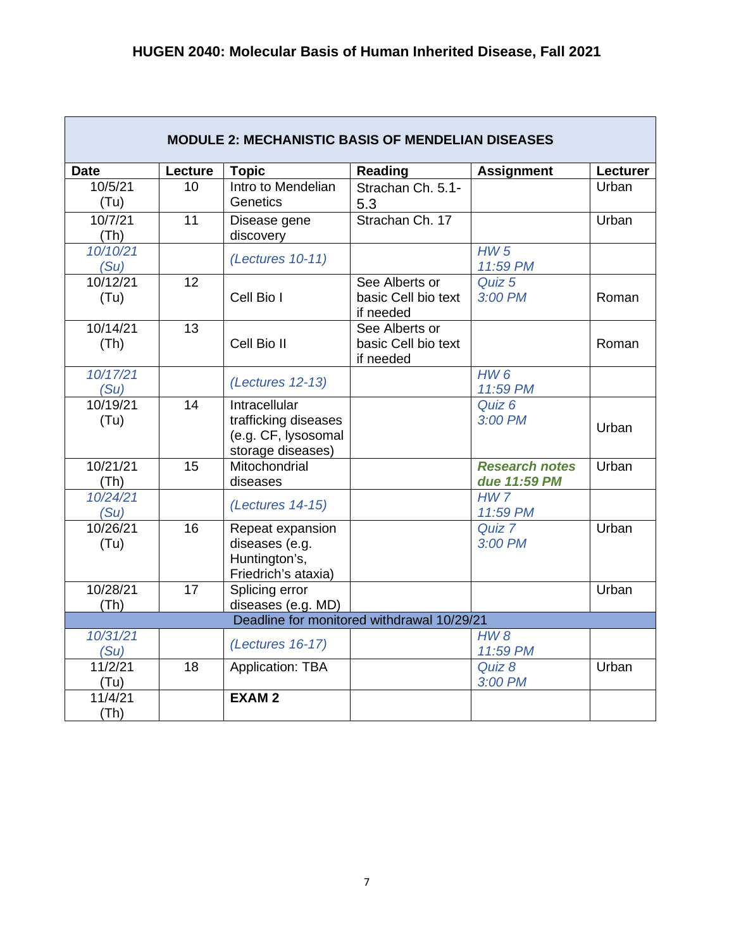| <b>MODULE 2: MECHANISTIC BASIS OF MENDELIAN DISEASES</b> |         |                                                                  |                                            |                             |          |  |
|----------------------------------------------------------|---------|------------------------------------------------------------------|--------------------------------------------|-----------------------------|----------|--|
| <b>Date</b>                                              | Lecture | <b>Topic</b>                                                     | <b>Reading</b>                             | <b>Assignment</b>           | Lecturer |  |
| 10/5/21                                                  | 10      | Intro to Mendelian                                               | Strachan Ch. 5.1-                          |                             | Urban    |  |
| (Tu)                                                     |         | <b>Genetics</b>                                                  | 5.3                                        |                             |          |  |
| 10/7/21<br>(Th)                                          | 11      | Disease gene<br>discovery                                        | Strachan Ch. 17                            |                             | Urban    |  |
| 10/10/21<br>(Su)                                         |         | (Lectures 10-11)                                                 |                                            | HW <sub>5</sub><br>11:59 PM |          |  |
| 10/12/21                                                 | 12      |                                                                  | See Alberts or                             | Quiz 5                      |          |  |
| (Tu)                                                     |         | Cell Bio I                                                       | basic Cell bio text<br>if needed           | 3:00 PM                     | Roman    |  |
| 10/14/21                                                 | 13      |                                                                  | See Alberts or                             |                             |          |  |
| (Th)                                                     |         | Cell Bio II                                                      | basic Cell bio text<br>if needed           |                             | Roman    |  |
| 10/17/21<br>(Su)                                         |         | (Lectures 12-13)                                                 |                                            | HW6<br>11:59 PM             |          |  |
| 10/19/21                                                 | 14      | Intracellular                                                    |                                            | Quiz 6                      |          |  |
| (Tu)                                                     |         | trafficking diseases<br>(e.g. CF, lysosomal<br>storage diseases) |                                            | 3:00 PM                     | Urban    |  |
| 10/21/21                                                 | 15      | Mitochondrial                                                    |                                            | <b>Research notes</b>       | Urban    |  |
| (Th)                                                     |         | diseases                                                         |                                            | due 11:59 PM                |          |  |
| 10/24/21<br>(Su)                                         |         | (Lectures 14-15)                                                 |                                            | HW <sub>7</sub><br>11:59 PM |          |  |
| 10/26/21                                                 | 16      | Repeat expansion                                                 |                                            | Quiz 7                      | Urban    |  |
| (Tu)                                                     |         | diseases (e.g.                                                   |                                            | 3:00 PM                     |          |  |
|                                                          |         | Huntington's,                                                    |                                            |                             |          |  |
|                                                          |         | Friedrich's ataxia)                                              |                                            |                             |          |  |
| 10/28/21                                                 | 17      | Splicing error                                                   |                                            |                             | Urban    |  |
| (Th)                                                     |         | diseases (e.g. MD)                                               | Deadline for monitored withdrawal 10/29/21 |                             |          |  |
| 10/31/21                                                 |         |                                                                  |                                            | HW8                         |          |  |
| (Su)                                                     |         | (Lectures 16-17)                                                 |                                            | 11:59 PM                    |          |  |
| 11/2/21                                                  | 18      | Application: TBA                                                 |                                            | Quiz 8                      | Urban    |  |
| (Tu)                                                     |         |                                                                  |                                            | 3:00 PM                     |          |  |
| 11/4/21                                                  |         | <b>EXAM2</b>                                                     |                                            |                             |          |  |
| (Th)                                                     |         |                                                                  |                                            |                             |          |  |